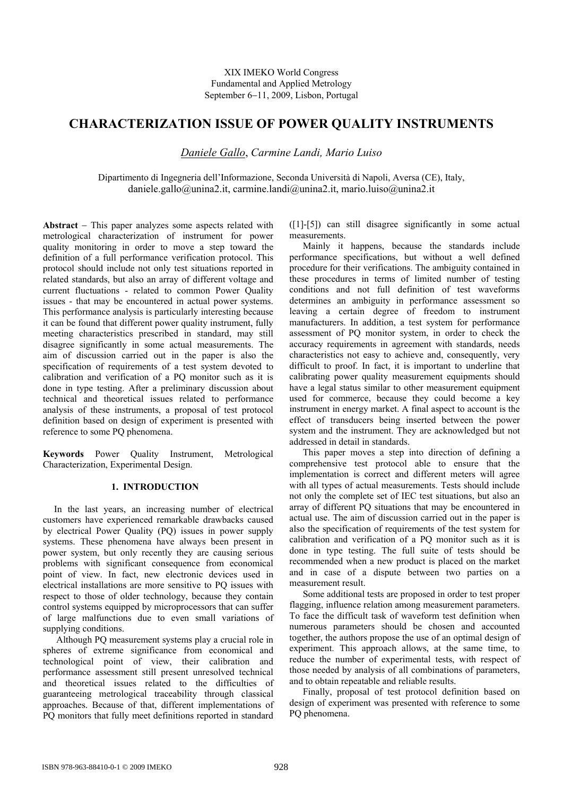# **CHARACTERIZATION ISSUE OF POWER QUALITY INSTRUMENTS**

*Daniele Gallo*, *Carmine Landi, Mario Luiso* 

Dipartimento di Ingegneria dell'Informazione, Seconda Università di Napoli, Aversa (CE), Italy, daniele.gallo@unina2.it, carmine.landi@unina2.it, mario.luiso@unina2.it

**Abstract** – This paper analyzes some aspects related with metrological characterization of instrument for power quality monitoring in order to move a step toward the definition of a full performance verification protocol. This protocol should include not only test situations reported in related standards, but also an array of different voltage and current fluctuations - related to common Power Quality issues - that may be encountered in actual power systems. This performance analysis is particularly interesting because it can be found that different power quality instrument, fully meeting characteristics prescribed in standard, may still disagree significantly in some actual measurements. The aim of discussion carried out in the paper is also the specification of requirements of a test system devoted to calibration and verification of a PQ monitor such as it is done in type testing. After a preliminary discussion about technical and theoretical issues related to performance analysis of these instruments, a proposal of test protocol definition based on design of experiment is presented with reference to some PQ phenomena.

**Keywords** Power Quality Instrument, Metrological Characterization, Experimental Design.

## **1. INTRODUCTION**

In the last years, an increasing number of electrical customers have experienced remarkable drawbacks caused by electrical Power Quality (PQ) issues in power supply systems. These phenomena have always been present in power system, but only recently they are causing serious problems with significant consequence from economical point of view. In fact, new electronic devices used in electrical installations are more sensitive to PQ issues with respect to those of older technology, because they contain control systems equipped by microprocessors that can suffer of large malfunctions due to even small variations of supplying conditions.

Although PQ measurement systems play a crucial role in spheres of extreme significance from economical and technological point of view, their calibration and performance assessment still present unresolved technical and theoretical issues related to the difficulties of guaranteeing metrological traceability through classical approaches. Because of that, different implementations of PQ monitors that fully meet definitions reported in standard ([1]-[5]) can still disagree significantly in some actual measurements.

Mainly it happens, because the standards include performance specifications, but without a well defined procedure for their verifications. The ambiguity contained in these procedures in terms of limited number of testing conditions and not full definition of test waveforms determines an ambiguity in performance assessment so leaving a certain degree of freedom to instrument manufacturers. In addition, a test system for performance assessment of PQ monitor system, in order to check the accuracy requirements in agreement with standards, needs characteristics not easy to achieve and, consequently, very difficult to proof. In fact, it is important to underline that calibrating power quality measurement equipments should have a legal status similar to other measurement equipment used for commerce, because they could become a key instrument in energy market. A final aspect to account is the effect of transducers being inserted between the power system and the instrument. They are acknowledged but not addressed in detail in standards.

This paper moves a step into direction of defining a comprehensive test protocol able to ensure that the implementation is correct and different meters will agree with all types of actual measurements. Tests should include not only the complete set of IEC test situations, but also an array of different PQ situations that may be encountered in actual use. The aim of discussion carried out in the paper is also the specification of requirements of the test system for calibration and verification of a PQ monitor such as it is done in type testing. The full suite of tests should be recommended when a new product is placed on the market and in case of a dispute between two parties on a measurement result.

Some additional tests are proposed in order to test proper flagging, influence relation among measurement parameters. To face the difficult task of waveform test definition when numerous parameters should be chosen and accounted together, the authors propose the use of an optimal design of experiment. This approach allows, at the same time, to reduce the number of experimental tests, with respect of those needed by analysis of all combinations of parameters, and to obtain repeatable and reliable results.

Finally, proposal of test protocol definition based on design of experiment was presented with reference to some PQ phenomena.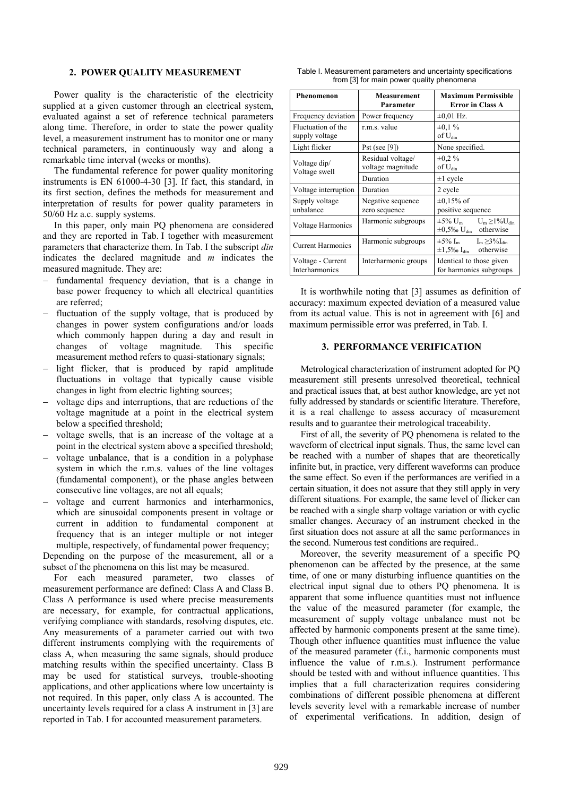#### **2. POWER QUALITY MEASUREMENT**

Power quality is the characteristic of the electricity supplied at a given customer through an electrical system, evaluated against a set of reference technical parameters along time. Therefore, in order to state the power quality level, a measurement instrument has to monitor one or many technical parameters, in continuously way and along a remarkable time interval (weeks or months).

The fundamental reference for power quality monitoring instruments is EN 61000-4-30 [3]. If fact, this standard, in its first section, defines the methods for measurement and interpretation of results for power quality parameters in 50/60 Hz a.c. supply systems.

In this paper, only main PQ phenomena are considered and they are reported in Tab. I together with measurement parameters that characterize them. In Tab. I the subscript *din* indicates the declared magnitude and *m* indicates the measured magnitude. They are:

- fundamental frequency deviation, that is a change in base power frequency to which all electrical quantities are referred;
- fluctuation of the supply voltage, that is produced by changes in power system configurations and/or loads which commonly happen during a day and result in changes of voltage magnitude. This specific measurement method refers to quasi-stationary signals;
- light flicker, that is produced by rapid amplitude fluctuations in voltage that typically cause visible changes in light from electric lighting sources;
- voltage dips and interruptions, that are reductions of the voltage magnitude at a point in the electrical system below a specified threshold;
- voltage swells, that is an increase of the voltage at a point in the electrical system above a specified threshold;
- voltage unbalance, that is a condition in a polyphase system in which the r.m.s. values of the line voltages (fundamental component), or the phase angles between consecutive line voltages, are not all equals;
- voltage and current harmonics and interharmonics, which are sinusoidal components present in voltage or current in addition to fundamental component at frequency that is an integer multiple or not integer multiple, respectively, of fundamental power frequency;

Depending on the purpose of the measurement, all or a subset of the phenomena on this list may be measured.

For each measured parameter, two classes of measurement performance are defined: Class A and Class B. Class A performance is used where precise measurements are necessary, for example, for contractual applications, verifying compliance with standards, resolving disputes, etc. Any measurements of a parameter carried out with two different instruments complying with the requirements of class A, when measuring the same signals, should produce matching results within the specified uncertainty. Class B may be used for statistical surveys, trouble-shooting applications, and other applications where low uncertainty is not required. In this paper, only class A is accounted. The uncertainty levels required for a class A instrument in [3] are reported in Tab. I for accounted measurement parameters.

|                                           | Table I. Measurement parameters and uncertainty specifications |
|-------------------------------------------|----------------------------------------------------------------|
| from [3] for main power quality phenomena |                                                                |

| Phenomenon                           | <b>Measurement</b><br>Parameter        | <b>Maximum Permissible</b><br><b>Error in Class A</b>                                                              |  |  |
|--------------------------------------|----------------------------------------|--------------------------------------------------------------------------------------------------------------------|--|--|
| Frequency deviation                  | Power frequency                        | $\pm 0.01$ Hz.                                                                                                     |  |  |
| Fluctuation of the<br>supply voltage | r.m.s. value                           | $\pm 0.1 \%$<br>$of U_{\rm din}$                                                                                   |  |  |
| Light flicker                        | Pst (see [9])                          | None specified.                                                                                                    |  |  |
| Voltage dip/<br>Voltage swell        | Residual voltage/<br>voltage magnitude | $\pm 0.2 \%$<br>of $U_{\text{dim}}$                                                                                |  |  |
|                                      | Duration                               | $\pm 1$ cycle                                                                                                      |  |  |
| Voltage interruption                 | Duration                               | 2 cycle                                                                                                            |  |  |
| Supply voltage<br>unbalance          | Negative sequence<br>zero sequence     | $\pm 0.15\%$ of<br>positive sequence                                                                               |  |  |
| Voltage Harmonics                    | Harmonic subgroups                     | $\pm 5\%$ U <sub>m</sub> U <sub>m</sub> $\geq 1\%$ U <sub>din</sub><br>$\pm 0,5\%$ U <sub>din</sub> otherwise      |  |  |
| <b>Current Harmonics</b>             | Harmonic subgroups                     | $\pm 5\%$ I <sub>m</sub> I <sub>m</sub> $\geq 3\%$ I <sub>din</sub><br>otherwise<br>$\pm 1,5\%$ o I <sub>din</sub> |  |  |
| Voltage - Current<br>Interharmonics  | Interharmonic groups                   | Identical to those given<br>for harmonics subgroups                                                                |  |  |

It is worthwhile noting that [3] assumes as definition of accuracy: maximum expected deviation of a measured value from its actual value. This is not in agreement with [6] and maximum permissible error was preferred, in Tab. I.

# **3. PERFORMANCE VERIFICATION**

Metrological characterization of instrument adopted for PQ measurement still presents unresolved theoretical, technical and practical issues that, at best author knowledge, are yet not fully addressed by standards or scientific literature. Therefore, it is a real challenge to assess accuracy of measurement results and to guarantee their metrological traceability.

First of all, the severity of PQ phenomena is related to the waveform of electrical input signals. Thus, the same level can be reached with a number of shapes that are theoretically infinite but, in practice, very different waveforms can produce the same effect. So even if the performances are verified in a certain situation, it does not assure that they still apply in very different situations. For example, the same level of flicker can be reached with a single sharp voltage variation or with cyclic smaller changes. Accuracy of an instrument checked in the first situation does not assure at all the same performances in the second. Numerous test conditions are required..

Moreover, the severity measurement of a specific PQ phenomenon can be affected by the presence, at the same time, of one or many disturbing influence quantities on the electrical input signal due to others PQ phenomena. It is apparent that some influence quantities must not influence the value of the measured parameter (for example, the measurement of supply voltage unbalance must not be affected by harmonic components present at the same time). Though other influence quantities must influence the value of the measured parameter (f.i., harmonic components must influence the value of r.m.s.). Instrument performance should be tested with and without influence quantities. This implies that a full characterization requires considering combinations of different possible phenomena at different levels severity level with a remarkable increase of number of experimental verifications. In addition, design of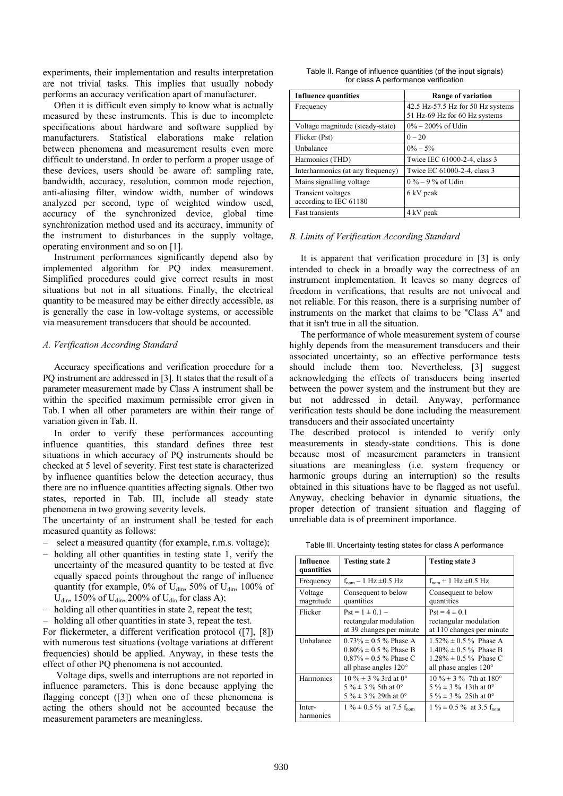experiments, their implementation and results interpretation are not trivial tasks. This implies that usually nobody performs an accuracy verification apart of manufacturer.

Often it is difficult even simply to know what is actually measured by these instruments. This is due to incomplete specifications about hardware and software supplied by manufacturers. Statistical elaborations make relation between phenomena and measurement results even more difficult to understand. In order to perform a proper usage of these devices, users should be aware of: sampling rate, bandwidth, accuracy, resolution, common mode rejection, anti-aliasing filter, window width, number of windows analyzed per second, type of weighted window used, accuracy of the synchronized device, global time synchronization method used and its accuracy, immunity of the instrument to disturbances in the supply voltage, operating environment and so on [1].

Instrument performances significantly depend also by implemented algorithm for PQ index measurement. Simplified procedures could give correct results in most situations but not in all situations. Finally, the electrical quantity to be measured may be either directly accessible, as is generally the case in low-voltage systems, or accessible via measurement transducers that should be accounted.

### *A. Verification According Standard*

Accuracy specifications and verification procedure for a PQ instrument are addressed in [3]. It states that the result of a parameter measurement made by Class A instrument shall be within the specified maximum permissible error given in Tab. I when all other parameters are within their range of variation given in Tab. II.

In order to verify these performances accounting influence quantities, this standard defines three test situations in which accuracy of PQ instruments should be checked at 5 level of severity. First test state is characterized by influence quantities below the detection accuracy, thus there are no influence quantities affecting signals. Other two states, reported in Tab. III, include all steady state phenomena in two growing severity levels.

The uncertainty of an instrument shall be tested for each measured quantity as follows:

- select a measured quantity (for example, r.m.s. voltage);
- $h$  holding all other quantities in testing state 1, verify the uncertainty of the measured quantity to be tested at five equally spaced points throughout the range of influence quantity (for example,  $0\%$  of U<sub>din</sub>,  $50\%$  of U<sub>din</sub>,  $100\%$  of  $U_{\text{din}}$ , 150% of  $U_{\text{din}}$ , 200% of  $U_{\text{din}}$  for class A);
- holding all other quantities in state 2, repeat the test;
- holding all other quantities in state 3, repeat the test.

For flickermeter, a different verification protocol ([7], [8]) with numerous test situations (voltage variations at different frequencies) should be applied. Anyway, in these tests the effect of other PQ phenomena is not accounted.

Voltage dips, swells and interruptions are not reported in influence parameters. This is done because applying the flagging concept ([3]) when one of these phenomena is acting the others should not be accounted because the measurement parameters are meaningless.

| Table II. Range of influence quantities (of the input signals) |  |
|----------------------------------------------------------------|--|
| for class A performance verification                           |  |

| <b>Influence quantities</b>                  | <b>Range of variation</b>                                          |
|----------------------------------------------|--------------------------------------------------------------------|
| Frequency                                    | 42.5 Hz-57.5 Hz for 50 Hz systems<br>51 Hz-69 Hz for 60 Hz systems |
| Voltage magnitude (steady-state)             | $0\% - 200\%$ of Udin                                              |
| Flicker (Pst)                                | $0 - 20$                                                           |
| Unbalance                                    | $0\% - 5\%$                                                        |
| Harmonics (THD)                              | Twice IEC 61000-2-4, class 3                                       |
| Interharmonics (at any frequency)            | Twice EC 61000-2-4, class 3                                        |
| Mains signalling voltage                     | $0\% - 9\%$ of Udin                                                |
| Transient voltages<br>according to IEC 61180 | 6 kV peak                                                          |
| <b>Fast transients</b>                       | 4 kV peak                                                          |

#### *B. Limits of Verification According Standard*

It is apparent that verification procedure in [3] is only intended to check in a broadly way the correctness of an instrument implementation. It leaves so many degrees of freedom in verifications, that results are not univocal and not reliable. For this reason, there is a surprising number of instruments on the market that claims to be "Class A" and that it isn't true in all the situation.

The performance of whole measurement system of course highly depends from the measurement transducers and their associated uncertainty, so an effective performance tests should include them too. Nevertheless, [3] suggest acknowledging the effects of transducers being inserted between the power system and the instrument but they are but not addressed in detail. Anyway, performance verification tests should be done including the measurement transducers and their associated uncertainty

The described protocol is intended to verify only measurements in steady-state conditions. This is done because most of measurement parameters in transient situations are meaningless (i.e. system frequency or harmonic groups during an interruption) so the results obtained in this situations have to be flagged as not useful. Anyway, checking behavior in dynamic situations, the proper detection of transient situation and flagging of unreliable data is of preeminent importance.

Table III. Uncertainty testing states for class A performance

| <b>Influence</b><br>quantities | <b>Testing state 2</b>                                                                                                   | <b>Testing state 3</b>                                                                                                   |
|--------------------------------|--------------------------------------------------------------------------------------------------------------------------|--------------------------------------------------------------------------------------------------------------------------|
| Frequency                      | $f_{\text{nom}} - 1$ Hz $\pm 0.5$ Hz                                                                                     | $f_{\text{nom}}$ + 1 Hz $\pm$ 0.5 Hz                                                                                     |
| Voltage<br>magnitude           | Consequent to below<br>quantities                                                                                        | Consequent to below<br>quantities                                                                                        |
| Flicker                        | $Pst = 1 \pm 0.1 -$<br>rectangular modulation<br>at 39 changes per minute                                                | $Pst = 4 \pm 0.1$<br>rectangular modulation<br>at 110 changes per minute                                                 |
| Unbalance                      | $0.73\% \pm 0.5\%$ Phase A<br>$0.80\% \pm 0.5\%$ Phase B<br>$0.87\% \pm 0.5\%$ Phase C<br>all phase angles $120^{\circ}$ | $1.52\% \pm 0.5\%$ Phase A<br>$1.40\% \pm 0.5\%$ Phase B<br>$1.28\% \pm 0.5\%$ Phase C<br>all phase angles $120^{\circ}$ |
| Harmonics                      | $10\% \pm 3\%$ 3rd at 0°<br>5 % $\pm$ 3 % 5th at 0°<br>5 % $\pm$ 3 % 29th at 0°                                          | $10\% \pm 3\%$ 7th at $180^{\circ}$<br>$5\% \pm 3\%$ 13th at 0°<br>$5\% \pm 3\%$ 25th at 0°                              |
| Inter-<br>harmonics            | $1\% \pm 0.5\%$ at 7.5 from                                                                                              | $1\% \pm 0.5\%$ at 3.5 f <sub>rom</sub>                                                                                  |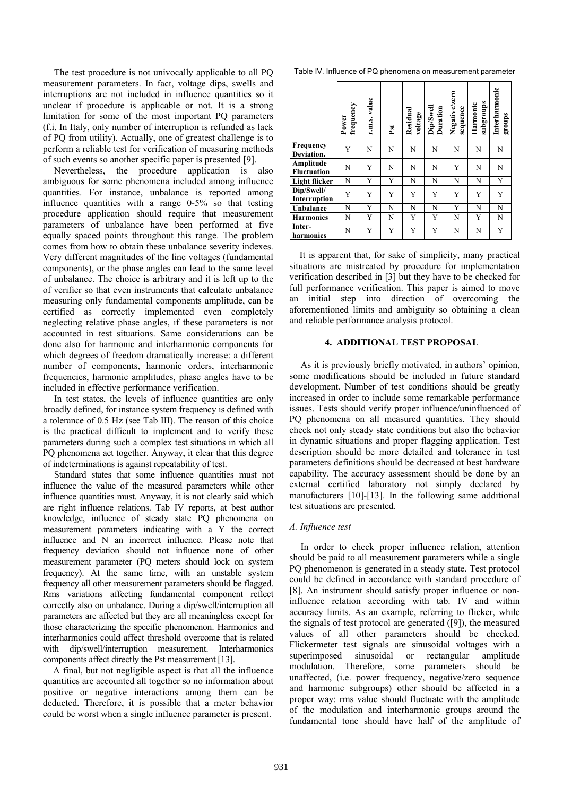The test procedure is not univocally applicable to all PQ measurement parameters. In fact, voltage dips, swells and interruptions are not included in influence quantities so it unclear if procedure is applicable or not. It is a strong limitation for some of the most important PQ parameters (f.i. In Italy, only number of interruption is refunded as lack of PQ from utility). Actually, one of greatest challenge is to perform a reliable test for verification of measuring methods of such events so another specific paper is presented [9].

Nevertheless, the procedure application is also ambiguous for some phenomena included among influence quantities. For instance, unbalance is reported among influence quantities with a range 0-5% so that testing procedure application should require that measurement parameters of unbalance have been performed at five equally spaced points throughout this range. The problem comes from how to obtain these unbalance severity indexes. Very different magnitudes of the line voltages (fundamental components), or the phase angles can lead to the same level of unbalance. The choice is arbitrary and it is left up to the of verifier so that even instruments that calculate unbalance measuring only fundamental components amplitude, can be certified as correctly implemented even completely neglecting relative phase angles, if these parameters is not accounted in test situations. Same considerations can be done also for harmonic and interharmonic components for which degrees of freedom dramatically increase: a different number of components, harmonic orders, interharmonic frequencies, harmonic amplitudes, phase angles have to be included in effective performance verification.

In test states, the levels of influence quantities are only broadly defined, for instance system frequency is defined with a tolerance of 0.5 Hz (see Tab III). The reason of this choice is the practical difficult to implement and to verify these parameters during such a complex test situations in which all PQ phenomena act together. Anyway, it clear that this degree of indeterminations is against repeatability of test.

Standard states that some influence quantities must not influence the value of the measured parameters while other influence quantities must. Anyway, it is not clearly said which are right influence relations. Tab IV reports, at best author knowledge, influence of steady state PQ phenomena on measurement parameters indicating with a Y the correct influence and N an incorrect influence. Please note that frequency deviation should not influence none of other measurement parameter (PQ meters should lock on system frequency). At the same time, with an unstable system frequency all other measurement parameters should be flagged. Rms variations affecting fundamental component reflect correctly also on unbalance. During a dip/swell/interruption all parameters are affected but they are all meaningless except for those characterizing the specific phenomenon. Harmonics and interharmonics could affect threshold overcome that is related with dip/swell/interruption measurement. Interharmonics components affect directly the Pst measurement [13].

A final, but not negligible aspect is that all the influence quantities are accounted all together so no information about positive or negative interactions among them can be deducted. Therefore, it is possible that a meter behavior could be worst when a single influence parameter is present.

Table IV. Influence of PQ phenomena on measurement parameter

|                                 | frequency<br>Power | r.m.s. value | Pst | Residual<br>voltage | <b>Dip/Swell</b><br>Duration | Negative/zero<br>sequence | subgroups<br>Harmonic | Interharmonic<br>groups |
|---------------------------------|--------------------|--------------|-----|---------------------|------------------------------|---------------------------|-----------------------|-------------------------|
| Frequency<br>Deviation.         | Y                  | N            | N   | N                   | N                            | N                         | N                     | N                       |
| Amplitude<br><b>Fluctuation</b> | N                  | Y            | N   | N                   | N                            | Y                         | N                     | N                       |
| <b>Light flicker</b>            | N                  | Y            | Y   | N                   | N                            | N                         | N                     | Y                       |
| Dip/Swell/<br>Interruption      | Y                  | Y            | Y   | Y                   | Y                            | Y                         | Y                     | Y                       |
| Unbalance                       | N                  | Y            | N   | N                   | N                            | Y                         | N                     | N                       |
| <b>Harmonics</b>                | N                  | Y            | N   | Y                   | Y                            | N                         | Y                     | N                       |
| Inter-<br>harmonics             | N                  | Y            | Y   | Y                   | Y                            | N                         | N                     | Y                       |

It is apparent that, for sake of simplicity, many practical situations are mistreated by procedure for implementation verification described in [3] but they have to be checked for full performance verification. This paper is aimed to move an initial step into direction of overcoming the aforementioned limits and ambiguity so obtaining a clean and reliable performance analysis protocol.

# **4. ADDITIONAL TEST PROPOSAL**

As it is previously briefly motivated, in authors' opinion, some modifications should be included in future standard development. Number of test conditions should be greatly increased in order to include some remarkable performance issues. Tests should verify proper influence/uninfluenced of PQ phenomena on all measured quantities. They should check not only steady state conditions but also the behavior in dynamic situations and proper flagging application. Test description should be more detailed and tolerance in test parameters definitions should be decreased at best hardware capability. The accuracy assessment should be done by an external certified laboratory not simply declared by manufacturers [10]-[13]. In the following same additional test situations are presented.

## *A. Influence test*

In order to check proper influence relation, attention should be paid to all measurement parameters while a single PQ phenomenon is generated in a steady state. Test protocol could be defined in accordance with standard procedure of [8]. An instrument should satisfy proper influence or noninfluence relation according with tab. IV and within accuracy limits. As an example, referring to flicker, while the signals of test protocol are generated ([9]), the measured values of all other parameters should be checked. Flickermeter test signals are sinusoidal voltages with a superimposed sinusoidal or rectangular amplitude modulation. Therefore, some parameters should be unaffected, (i.e. power frequency, negative/zero sequence and harmonic subgroups) other should be affected in a proper way: rms value should fluctuate with the amplitude of the modulation and interharmonic groups around the fundamental tone should have half of the amplitude of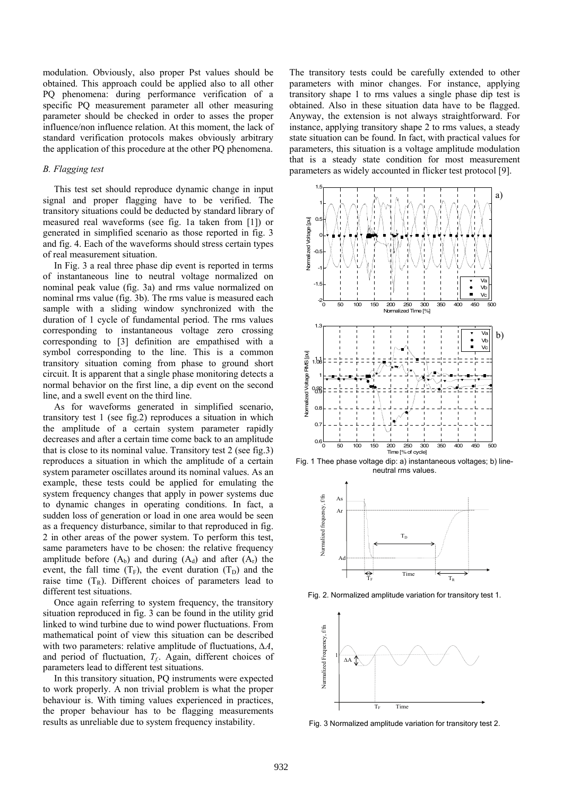modulation. Obviously, also proper Pst values should be obtained. This approach could be applied also to all other PQ phenomena: during performance verification of a specific PQ measurement parameter all other measuring parameter should be checked in order to asses the proper influence/non influence relation. At this moment, the lack of standard verification protocols makes obviously arbitrary the application of this procedure at the other PQ phenomena.

## *B. Flagging test*

This test set should reproduce dynamic change in input signal and proper flagging have to be verified. The transitory situations could be deducted by standard library of measured real waveforms (see fig. 1a taken from [1]) or generated in simplified scenario as those reported in fig. 3 and fig. 4. Each of the waveforms should stress certain types of real measurement situation.

In Fig. 3 a real three phase dip event is reported in terms of instantaneous line to neutral voltage normalized on nominal peak value (fig. 3a) and rms value normalized on nominal rms value (fig. 3b). The rms value is measured each sample with a sliding window synchronized with the duration of 1 cycle of fundamental period. The rms values corresponding to instantaneous voltage zero crossing corresponding to [3] definition are empathised with a symbol corresponding to the line. This is a common transitory situation coming from phase to ground short circuit. It is apparent that a single phase monitoring detects a normal behavior on the first line, a dip event on the second line, and a swell event on the third line.

As for waveforms generated in simplified scenario, transitory test 1 (see fig.2) reproduces a situation in which the amplitude of a certain system parameter rapidly decreases and after a certain time come back to an amplitude that is close to its nominal value. Transitory test 2 (see fig.3) reproduces a situation in which the amplitude of a certain system parameter oscillates around its nominal values. As an example, these tests could be applied for emulating the system frequency changes that apply in power systems due to dynamic changes in operating conditions. In fact, a sudden loss of generation or load in one area would be seen as a frequency disturbance, similar to that reproduced in fig. 2 in other areas of the power system. To perform this test, same parameters have to be chosen: the relative frequency amplitude before  $(A_b)$  and during  $(A_d)$  and after  $(A_r)$  the event, the fall time  $(T_F)$ , the event duration  $(T_D)$  and the raise time  $(T_R)$ . Different choices of parameters lead to different test situations.

Once again referring to system frequency, the transitory situation reproduced in fig. 3 can be found in the utility grid linked to wind turbine due to wind power fluctuations. From mathematical point of view this situation can be described with two parameters: relative amplitude of fluctuations, *∆A*, and period of fluctuation,  $T_f$ . Again, different choices of parameters lead to different test situations.

In this transitory situation, PQ instruments were expected to work properly. A non trivial problem is what the proper behaviour is. With timing values experienced in practices, the proper behaviour has to be flagging measurements results as unreliable due to system frequency instability.

The transitory tests could be carefully extended to other parameters with minor changes. For instance, applying transitory shape 1 to rms values a single phase dip test is obtained. Also in these situation data have to be flagged. Anyway, the extension is not always straightforward. For instance, applying transitory shape 2 to rms values, a steady state situation can be found. In fact, with practical values for parameters, this situation is a voltage amplitude modulation that is a steady state condition for most measurement parameters as widely accounted in flicker test protocol [9].



Fig. 1 Thee phase voltage dip: a) instantaneous voltages; b) lineneutral rms values.



Fig. 2. Normalized amplitude variation for transitory test 1.



Fig. 3 Normalized amplitude variation for transitory test 2.